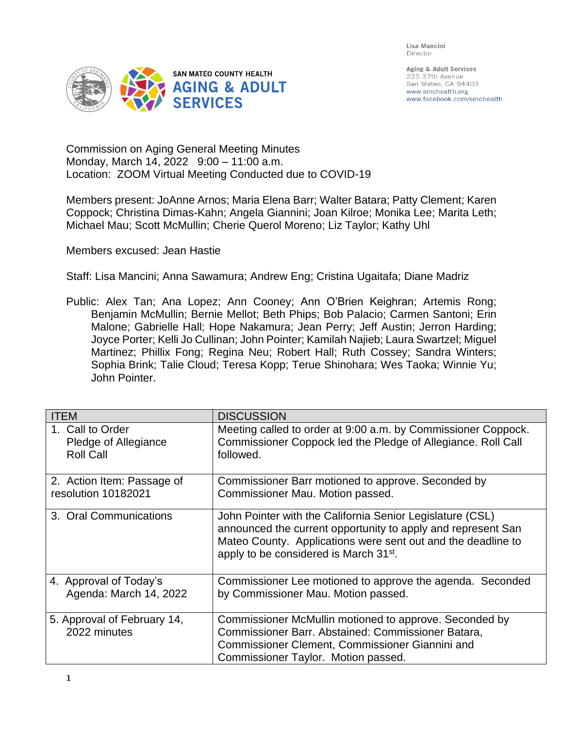Lisa Mancini Director



Aging & Adult Services 225 37th Avenue San Mateo, CA 94403 www.smchealth.org www.facebook.com/smchealth

Commission on Aging General Meeting Minutes Monday, March 14, 2022 9:00 – 11:00 a.m. Location: ZOOM Virtual Meeting Conducted due to COVID-19

Members present: JoAnne Arnos; Maria Elena Barr; Walter Batara; Patty Clement; Karen Coppock; Christina Dimas-Kahn; Angela Giannini; Joan Kilroe; Monika Lee; Marita Leth; Michael Mau; Scott McMullin; Cherie Querol Moreno; Liz Taylor; Kathy Uhl

Members excused: Jean Hastie

Staff: Lisa Mancini; Anna Sawamura; Andrew Eng; Cristina Ugaitafa; Diane Madriz

Public: Alex Tan; Ana Lopez; Ann Cooney; Ann O'Brien Keighran; Artemis Rong; Benjamin McMullin; Bernie Mellot; Beth Phips; Bob Palacio; Carmen Santoni; Erin Malone; Gabrielle Hall; Hope Nakamura; Jean Perry; Jeff Austin; Jerron Harding; Joyce Porter; Kelli Jo Cullinan; John Pointer; Kamilah Najieb; Laura Swartzel; Miguel Martinez; Phillix Fong; Regina Neu; Robert Hall; Ruth Cossey; Sandra Winters; Sophia Brink; Talie Cloud; Teresa Kopp; Terue Shinohara; Wes Taoka; Winnie Yu; John Pointer.

| <b>ITEM</b>                                 | <b>DISCUSSION</b>                                                                                                                                                                                                                               |
|---------------------------------------------|-------------------------------------------------------------------------------------------------------------------------------------------------------------------------------------------------------------------------------------------------|
| 1. Call to Order                            | Meeting called to order at 9:00 a.m. by Commissioner Coppock.                                                                                                                                                                                   |
| Pledge of Allegiance                        | Commissioner Coppock led the Pledge of Allegiance. Roll Call                                                                                                                                                                                    |
| <b>Roll Call</b>                            | followed.                                                                                                                                                                                                                                       |
| 2. Action Item: Passage of                  | Commissioner Barr motioned to approve. Seconded by                                                                                                                                                                                              |
| resolution 10182021                         | Commissioner Mau. Motion passed.                                                                                                                                                                                                                |
| 3. Oral Communications                      | John Pointer with the California Senior Legislature (CSL)<br>announced the current opportunity to apply and represent San<br>Mateo County. Applications were sent out and the deadline to<br>apply to be considered is March 31 <sup>st</sup> . |
| 4. Approval of Today's                      | Commissioner Lee motioned to approve the agenda. Seconded                                                                                                                                                                                       |
| Agenda: March 14, 2022                      | by Commissioner Mau. Motion passed.                                                                                                                                                                                                             |
| 5. Approval of February 14,<br>2022 minutes | Commissioner McMullin motioned to approve. Seconded by<br>Commissioner Barr. Abstained: Commissioner Batara,<br>Commissioner Clement, Commissioner Giannini and<br>Commissioner Taylor. Motion passed.                                          |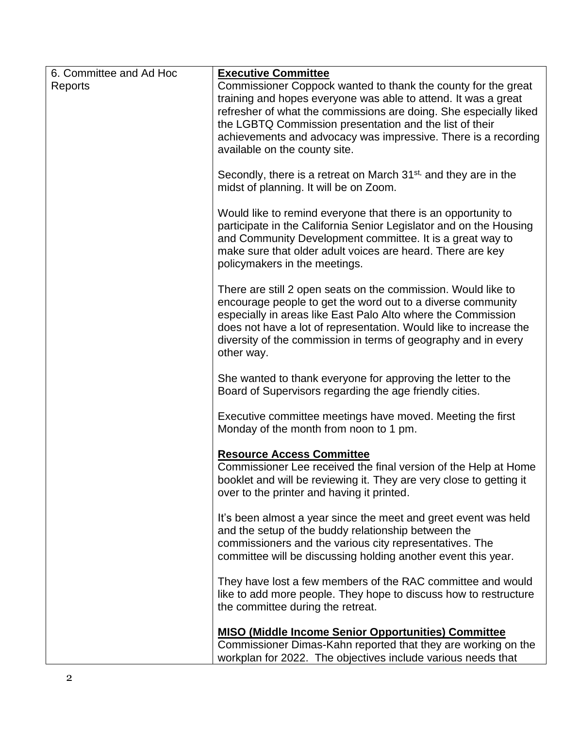| 6. Committee and Ad Hoc | <b>Executive Committee</b>                                                                                                                                                                                                                                                                                                                        |
|-------------------------|---------------------------------------------------------------------------------------------------------------------------------------------------------------------------------------------------------------------------------------------------------------------------------------------------------------------------------------------------|
| Reports                 | Commissioner Coppock wanted to thank the county for the great                                                                                                                                                                                                                                                                                     |
|                         | training and hopes everyone was able to attend. It was a great                                                                                                                                                                                                                                                                                    |
|                         | refresher of what the commissions are doing. She especially liked<br>the LGBTQ Commission presentation and the list of their                                                                                                                                                                                                                      |
|                         | achievements and advocacy was impressive. There is a recording                                                                                                                                                                                                                                                                                    |
|                         | available on the county site.                                                                                                                                                                                                                                                                                                                     |
|                         |                                                                                                                                                                                                                                                                                                                                                   |
|                         | Secondly, there is a retreat on March $31st$ , and they are in the<br>midst of planning. It will be on Zoom.                                                                                                                                                                                                                                      |
|                         | Would like to remind everyone that there is an opportunity to<br>participate in the California Senior Legislator and on the Housing<br>and Community Development committee. It is a great way to<br>make sure that older adult voices are heard. There are key<br>policymakers in the meetings.                                                   |
|                         | There are still 2 open seats on the commission. Would like to<br>encourage people to get the word out to a diverse community<br>especially in areas like East Palo Alto where the Commission<br>does not have a lot of representation. Would like to increase the<br>diversity of the commission in terms of geography and in every<br>other way. |
|                         |                                                                                                                                                                                                                                                                                                                                                   |
|                         | She wanted to thank everyone for approving the letter to the<br>Board of Supervisors regarding the age friendly cities.                                                                                                                                                                                                                           |
|                         | Executive committee meetings have moved. Meeting the first<br>Monday of the month from noon to 1 pm.                                                                                                                                                                                                                                              |
|                         | <b>Resource Access Committee</b><br>Commissioner Lee received the final version of the Help at Home<br>booklet and will be reviewing it. They are very close to getting it<br>over to the printer and having it printed.                                                                                                                          |
|                         | It's been almost a year since the meet and greet event was held<br>and the setup of the buddy relationship between the<br>commissioners and the various city representatives. The<br>committee will be discussing holding another event this year.                                                                                                |
|                         | They have lost a few members of the RAC committee and would<br>like to add more people. They hope to discuss how to restructure<br>the committee during the retreat.                                                                                                                                                                              |
|                         | <b>MISO (Middle Income Senior Opportunities) Committee</b>                                                                                                                                                                                                                                                                                        |
|                         | Commissioner Dimas-Kahn reported that they are working on the                                                                                                                                                                                                                                                                                     |
|                         | workplan for 2022. The objectives include various needs that                                                                                                                                                                                                                                                                                      |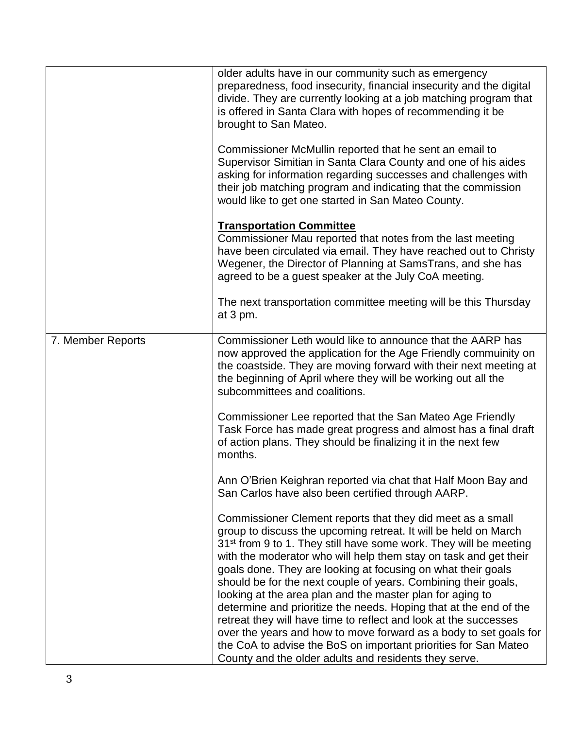|                   | older adults have in our community such as emergency<br>preparedness, food insecurity, financial insecurity and the digital<br>divide. They are currently looking at a job matching program that<br>is offered in Santa Clara with hopes of recommending it be<br>brought to San Mateo.                                                                                                                                                                                                                                                                                                                                                                                                                                                                                                                                     |
|-------------------|-----------------------------------------------------------------------------------------------------------------------------------------------------------------------------------------------------------------------------------------------------------------------------------------------------------------------------------------------------------------------------------------------------------------------------------------------------------------------------------------------------------------------------------------------------------------------------------------------------------------------------------------------------------------------------------------------------------------------------------------------------------------------------------------------------------------------------|
|                   | Commissioner McMullin reported that he sent an email to<br>Supervisor Simitian in Santa Clara County and one of his aides<br>asking for information regarding successes and challenges with<br>their job matching program and indicating that the commission<br>would like to get one started in San Mateo County.                                                                                                                                                                                                                                                                                                                                                                                                                                                                                                          |
|                   | <b>Transportation Committee</b><br>Commissioner Mau reported that notes from the last meeting<br>have been circulated via email. They have reached out to Christy<br>Wegener, the Director of Planning at SamsTrans, and she has<br>agreed to be a guest speaker at the July CoA meeting.                                                                                                                                                                                                                                                                                                                                                                                                                                                                                                                                   |
|                   | The next transportation committee meeting will be this Thursday<br>at 3 pm.                                                                                                                                                                                                                                                                                                                                                                                                                                                                                                                                                                                                                                                                                                                                                 |
| 7. Member Reports | Commissioner Leth would like to announce that the AARP has<br>now approved the application for the Age Friendly commuinity on<br>the coastside. They are moving forward with their next meeting at<br>the beginning of April where they will be working out all the<br>subcommittees and coalitions.                                                                                                                                                                                                                                                                                                                                                                                                                                                                                                                        |
|                   | Commissioner Lee reported that the San Mateo Age Friendly<br>Task Force has made great progress and almost has a final draft<br>of action plans. They should be finalizing it in the next few<br>months.                                                                                                                                                                                                                                                                                                                                                                                                                                                                                                                                                                                                                    |
|                   | Ann O'Brien Keighran reported via chat that Half Moon Bay and<br>San Carlos have also been certified through AARP.                                                                                                                                                                                                                                                                                                                                                                                                                                                                                                                                                                                                                                                                                                          |
|                   | Commissioner Clement reports that they did meet as a small<br>group to discuss the upcoming retreat. It will be held on March<br>31 <sup>st</sup> from 9 to 1. They still have some work. They will be meeting<br>with the moderator who will help them stay on task and get their<br>goals done. They are looking at focusing on what their goals<br>should be for the next couple of years. Combining their goals,<br>looking at the area plan and the master plan for aging to<br>determine and prioritize the needs. Hoping that at the end of the<br>retreat they will have time to reflect and look at the successes<br>over the years and how to move forward as a body to set goals for<br>the CoA to advise the BoS on important priorities for San Mateo<br>County and the older adults and residents they serve. |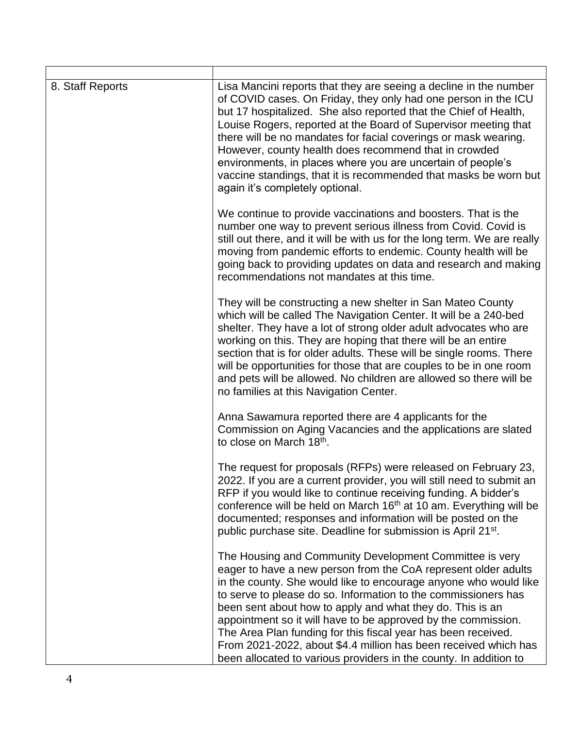| 8. Staff Reports | Lisa Mancini reports that they are seeing a decline in the number<br>of COVID cases. On Friday, they only had one person in the ICU<br>but 17 hospitalized. She also reported that the Chief of Health,<br>Louise Rogers, reported at the Board of Supervisor meeting that<br>there will be no mandates for facial coverings or mask wearing.<br>However, county health does recommend that in crowded<br>environments, in places where you are uncertain of people's<br>vaccine standings, that it is recommended that masks be worn but<br>again it's completely optional.                           |
|------------------|--------------------------------------------------------------------------------------------------------------------------------------------------------------------------------------------------------------------------------------------------------------------------------------------------------------------------------------------------------------------------------------------------------------------------------------------------------------------------------------------------------------------------------------------------------------------------------------------------------|
|                  | We continue to provide vaccinations and boosters. That is the<br>number one way to prevent serious illness from Covid. Covid is<br>still out there, and it will be with us for the long term. We are really<br>moving from pandemic efforts to endemic. County health will be<br>going back to providing updates on data and research and making<br>recommendations not mandates at this time.                                                                                                                                                                                                         |
|                  | They will be constructing a new shelter in San Mateo County<br>which will be called The Navigation Center. It will be a 240-bed<br>shelter. They have a lot of strong older adult advocates who are<br>working on this. They are hoping that there will be an entire<br>section that is for older adults. These will be single rooms. There<br>will be opportunities for those that are couples to be in one room<br>and pets will be allowed. No children are allowed so there will be<br>no families at this Navigation Center.                                                                      |
|                  | Anna Sawamura reported there are 4 applicants for the<br>Commission on Aging Vacancies and the applications are slated<br>to close on March 18 <sup>th</sup> .                                                                                                                                                                                                                                                                                                                                                                                                                                         |
|                  | The request for proposals (RFPs) were released on February 23,<br>2022. If you are a current provider, you will still need to submit an<br>RFP if you would like to continue receiving funding. A bidder's<br>conference will be held on March 16 <sup>th</sup> at 10 am. Everything will be<br>documented; responses and information will be posted on the<br>public purchase site. Deadline for submission is April 21 <sup>st</sup> .                                                                                                                                                               |
|                  | The Housing and Community Development Committee is very<br>eager to have a new person from the CoA represent older adults<br>in the county. She would like to encourage anyone who would like<br>to serve to please do so. Information to the commissioners has<br>been sent about how to apply and what they do. This is an<br>appointment so it will have to be approved by the commission.<br>The Area Plan funding for this fiscal year has been received.<br>From 2021-2022, about \$4.4 million has been received which has<br>been allocated to various providers in the county. In addition to |